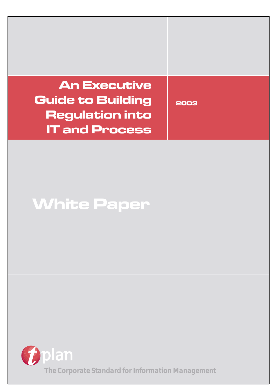# **An Executive Guide to Building Regulation into IT and Process**

**2003**

# **White Paper**

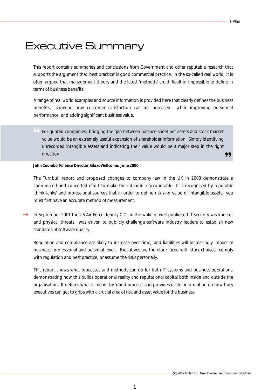# Executive Summary

This report contains summaries and conclusions from Government and other reputable research that supports the argument that 'best practice' is good commercial practice. In the so-called real world, it is often argued that management theory and the latest 'methods' are difficult or impossible to define in terms of business benefits.

A range of real world examples and source information is provided here that clearly defines the business benefits, showing how customer satisfaction can be increased, while improving personnel performance, and adding significant business value.

" For quoted companies, bridging the gap between balance sheet net assets and stock market ,, value would be an extremely useful expansion of shareholder information. Simply identifying unrecorded intangible assets and indicating their value would be a major step in the right direction.

#### *John Coombe, Finance Director, GlaxoWellcome. June 2000*

The Turnbull report and proposed changes to company law in the UK in 2003 demonstrate a coordinated and concerted effort to make the intangible accountable. It is recognised by reputable 'think-tanks' and professional sources that in order to define risk and value of intangible assets, you must first have an accurate method of measurement.

 $\rightarrow$  In September 2001 the US Air Force deputy CIO, in the wake of well-publicised IT security weaknesses and physical threats, was driven to publicly challenge software industry leaders to establish new standards of software quality.

Regulation and compliance are likely to increase over time, and liabilities will increasingly impact at business, professional and personal levels. Executives are therefore faced with stark choices, comply with regulation and best practice, or assume the risks personally.

This report shows what processes and methods can do for both IT systems and business operations, demonstrating how this builds operational reality and reputational capital both inside and outside the organisation. It defines what is meant by 'good process' and provides useful information on how busy executives can get to grips with a crucial area of risk and asset value for the business.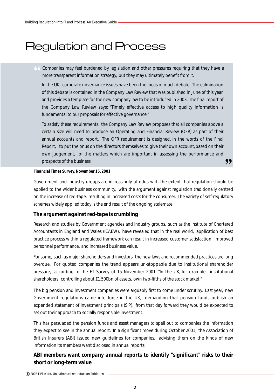# Regulation and Process

" Companies may feel burdened by legislation and other pressures requiring that they have a more transparent information strategy, but they may ultimately benefit from it.

In the UK, corporate governance issues have been the focus of much debate. The culmination of this debate is contained in the Company Law Review that was published in June of this year, and provides a template for the new company law to be introduced in 2003. The final report of the Company Law Review says: "Timely effective access to high quality information is fundamental to our proposals for effective governance."

,, To satisfy these requirements, the Company Law Review proposes that all companies above a certain size will need to produce an Operating and Financial Review (OFR) as part of their annual accounts and report. The OFR requirement is designed, in the words of the Final Report, "to put the onus on the directors themselves to give their own account, based on their own judgement, of the matters which are important in assessing the performance and prospects of the business.

#### *Financial Times Survey, November 15, 2001*

Government and industry groups are increasingly at odds with the extent that regulation should be applied to the wider business community, with the argument against regulation traditionally centred on the increase of red-tape, resulting in increased costs for the consumer. The variety of self-regulatory schemes widely applied today is the end result of the ongoing stalemate.

#### *The argument against red-tape is crumbling*

Research and studies by Government agencies and Industry groups, such as the Institute of Chartered Accountants in England and Wales (ICAEW), have revealed that in the real world, application of best practice process within a regulated framework can result in increased customer satisfaction, improved personnel performance, and increased business value.

For some, such as major shareholders and investors, the new laws and recommended practices are long overdue. For quoted companies the trend appears un-stoppable due to institutional shareholder pressure, according to the FT Survey of 15 November 2001: "In the UK, for example, institutional shareholders, controlling about £1,500bn of assets, own two-fifths of the stock market."

The big pension and investment companies were arguably first to come under scrutiny. Last year, new Government regulations came into force in the UK, demanding that pension funds publish an expended statement of investment principals (SIP), from that day forward they would be expected to set out their approach to socially responsible investment.

This has persuaded the pension funds and asset managers to spell out to companies the information they expect to see in the annual report. In a significant move during October 2001, the Association of British Insurers (ABI) issued new guidelines for companies, advising them on the kinds of new information its members want disclosed in annual reports.

#### *ABI members want company annual reports to identify "significant" risks to their short or long-term value*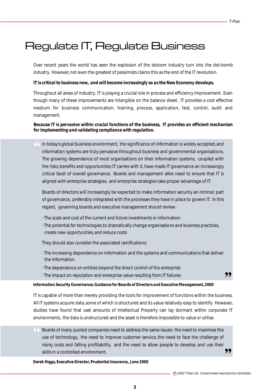# Regulate IT, Regulate Business

Over recent years the world has seen the explosion of the dotcom industry turn into the dot-bomb industry. However, not even the greatest of pessimists claims this as the end of the IT revolution.

#### *IT is critical to business now, and will become increasingly so as the New Economy develops.*

Throughout all areas of industry, IT is playing a crucial role in process and efficiency improvement. Even though many of these improvements are intangible on the balance sheet. IT provides a cost effective medium for business communication, training, process, application, test, control, audit and management.

#### *Because IT is pervasive within crucial functions of the business, IT provides an efficient mechanism for implementing and validating compliance with regulation.*

" In today's global business environment, the significance of information is widely accepted, and information systems are truly pervasive throughout business and governmental organisations. The growing dependence of most organisations on their information systems, coupled with the risks, benefits and opportunities IT carries with it, have made IT governance an increasingly critical facet of overall governance. Boards and management alike need to ensure that IT is aligned with enterprise strategies, and enterprise strategies take proper advantage of IT.

Boards of directors will increasingly be expected to make information security an intrinsic part of governance, preferably integrated with the processes they have in place to govern IT. In this regard, governing boards and executive management should review:

- · The scale and cost of the current and future investments in information
- · The potential for technologies to dramatically change organisations and business practices, create new opportunities, and reduce costs

They should also consider the associated ramifications:

- · The increasing dependence on information and the systems and communications that deliver the information
- · The dependence on entities beyond the direct control of the enterprise
- · The impact on reputation and enterprise value resulting from IT failures

#### *Information Security Governance; Guidance for Boards of Directors and Executive Management, 2000*

IT is capable of more than merely providing the tools for improvement of functions within the business. All IT systems acquire data, some of which is structured and its value relatively easy to identify. However, studies have found that vast amounts of Intellectual Property can lay dormant within corporate IT environments, the data is unstructured and the asset is therefore impossible to value or utilise.

" ,, Boards of many quoted companies need to address the same issues: the need to maximise the use of technology, the need to improve customer service, the need to face the challenge of rising costs and falling profitability, and the need to allow people to develop and use their skills in a controlled environment.

*Derek Higgs, Executive Director, Prudential Insurance, June 2000*

,,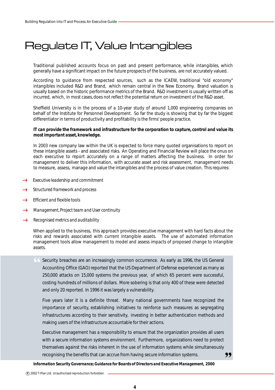# Regulate IT, Value Intangibles

Traditional published accounts focus on past and present performance, while intangibles, which generally have a significant impact on the future prospects of the business, are not accurately valued.

According to guidance from respected sources, such as the ICAEW, traditional "old economy" intangibles included R&D and Brand, which remain central in the New Economy. Brand valuation is usually based on the historic performance metrics of the Brand. R&D investment is usually written off as incurred, which, in most cases, does not reflect the potential return on investment of the R&D asset.

Sheffield University is in the process of a 10-year study of around 1,000 engineering companies on behalf of the Institute for Personnel Development. So far the study is showing that by far the biggest differentiator in terms of productivity and profitability is the firms' people practice.

#### *IT can provide the framework and infrastructure for the corporation to capture, control and value its most important asset, knowledge.*

In 2003 new company law within the UK is expected to force many quoted organisations to report on these intangible assets - and associated risks. An Operating and Financial Review will place the onus on each executive to report accurately on a range of matters affecting the business. In order for management to deliver this information, with accurate asset and risk assessment, management needs to measure, assess, manage and value the intangibles and the process of value creation. This requires:

- $\longrightarrow$ *Executive leadership and commitment*
- *Structured framework and process*
- *Efficient and flexible tools* foons
- *Management, Project team and User continuity*  $\epsilon$
- *Recognised metrics and auditability* **Loca**

When applied to the business, this approach provides executive management with hard facts about the risks and rewards associated with current intangible assets. The use of automated information management tools allow management to model and assess impacts of proposed change to intangible assets.

" Security breaches are an increasingly common occurrence. As early as 1996, the US General Accounting Office (GAO) reported that the US Department of Defense experienced as many as 250,000 attacks on 15,000 systems the previous year, of which 65 percent were successful, costing hundreds of millions of dollars. More sobering is that only 400 of these were detected and only 20 reported. In 1996 it was largely a vulnerability.

Five years later it is a definite threat. Many national governments have recognized the importance of security, establishing initiatives to reinforce such measures as segregating infrastructures according to their sensitivity, investing in better authentication methods and making users of the infrastructure accountable for their actions.

" Executive management has a responsibility to ensure that the organization provides all users with a secure information systems environment. Furthermore, organizations need to protect themselves against the risks inherent in the use of information systems while simultaneously recognising the benefits that can accrue from having secure information systems.

*Information Security Governance; Guidance for Boards of Directors and Executive Management, 2000*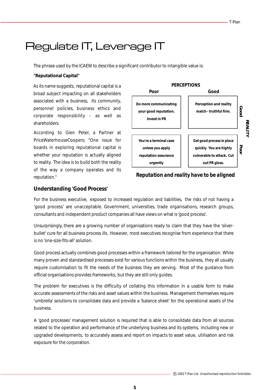# $\mathcal{L}$

The phrase used by the ICAEW to describe a significant contributor to intangible value is:

#### **"Reputational Capital"**

As its name suggests, reputational capital is a broad subject impacting on all stakeholders associated with a business, its community, personnel policies, business ethics and corporate responsibility - as well as shareholders.

According to Glen Peter, a Partner at PriceWaterhouseCoopers; "One issue for boards in exploring reputational capital is whether your reputation is actually aligned to reality. The idea is to build both the reality of the way a company operates and its



reputation." *Reputation and reality have to be aligned*

#### **Understanding 'Good Process'**

For the business executive, exposed to increased regulation and liabilities, the risks of not having a 'good process' are unacceptable. Government, universities, trade organisations, research groups, consultants and independent product companies all have views on what is 'good process'.

Unsurprisingly, there are a growing number of organisations ready to claim that they have the 'silverbullet' cure for all business process ills. However, most executives recognise from experience that there is no 'one-size-fits-all' solution.

Good process actually combines good processes within a framework tailored for the organisation. While many proven and standardised processes exist for various functions within the business, they all usually require customisation to fit the needs of the business they are serving. Most of the guidance from official organisations provides frameworks, but they are still only guides.

The problem for executives is the difficulty of collating this information in a usable form to make accurate assessments of the risks and asset values within the business. Management themselves require 'umbrella' solutions to consolidate data and provide a 'balance sheet' for the operational assets of the business.

A 'good processes' management solution is required that is able to consolidate data from all sources related to the operation and performance of the underlying business and its systems, including new or upgraded developments, to accurately assess and report on impacts to asset value, utilisation and risk exposure for the corporation.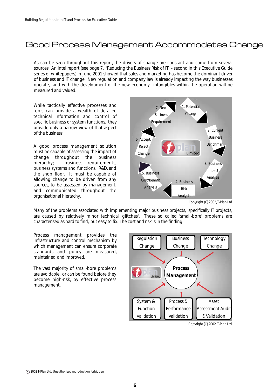### Good Process Management Accommodates Change

As can be seen throughout this report, the drivers of change are constant and come from several sources. An Intel report (see page 7, "Reducing the Business Risk of IT" - second in this Executive Guide series of whitepapers) in June 2001 showed that sales and marketing has become the dominant driver of business and IT change. New regulation and company law is already impacting the way businesses operate, and with the development of the new economy, intangibles within the operation will be measured and valued.

While tactically effective processes and tools can provide a wealth of detailed technical information and control of specific business or system functions, they provide only a narrow view of that aspect of the business.

A good process management solution must be capable of assessing the impact of change throughout the business hierarchy; business requirements, business systems and functions, R&D, and the shop floor. It must be capable of allowing change to be driven from any sources, to be assessed by management, and communicated throughout the organisational hierarchy.



*Copyright (C) 2002, T-Plan Ltd*

Many of the problems associated with implementing major business projects, specifically IT projects, are caused by relatively minor technical 'glitches'. These so called 'small-bore' problems are characterised as hard to find, but easy to fix. The cost and risk is in the finding.

Process management provides the infrastructure and control mechanism by which management can ensure corporate standards and policy are measured, maintained, and improved.

The vast majority of small-bore problems are avoidable, or can be found before they become high-risk, by effective process management.



*Copyright (C) 2002, T-Plan Ltd*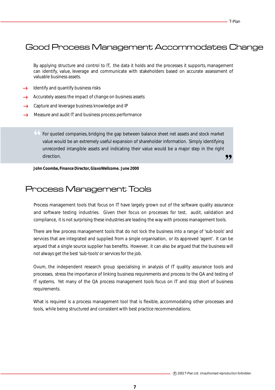### Good Process Management Accommodates Change

By applying structure and control to IT, the data it holds and the processes it supports, management can identify, value, leverage and communicate with stakeholders based on accurate assessment of valuable business assets.

- Identify and quantify business risks
- Accurately assess the impact of change on business assets
- → Capture and leverage business knowledge and IP
- Measure and audit IT and business process performance  $\longrightarrow$

" 99 For quoted companies, bridging the gap between balance sheet net assets and stock market value would be an extremely useful expansion of shareholder information. Simply identifying unrecorded intangible assets and indicating their value would be a major step in the right direction.

*John Coombe, Finance Director, GlaxoWellcome. June 2000*

#### Process Management Tools

Process management tools that focus on IT have largely grown out of the software quality assurance and software testing industries. Given their focus on processes for test, audit, validation and compliance, it is not surprising these industries are leading the way with process management tools.

There are few process management tools that do not lock the business into a range of 'sub-tools' and services that are integrated and supplied from a single organisation, or its approved 'agent'. It can be argued that a single source supplier has benefits. However, it can also be argued that the business will not always get the best 'sub-tools' or services for the job.

Ovum, the independent research group specialising in analysis of IT quality assurance tools and processes, stress the importance of linking business requirements and process to the QA and testing of IT systems. Yet many of the QA process management tools focus on IT and stop short of business requirements.

What is required is a process management tool that is flexible, accommodating other processes and tools, while being structured and consistent with best practice recommendations.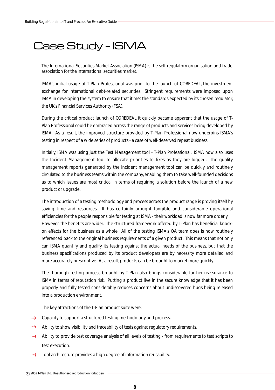# Case Study - ISMA

The International Securities Market Association (ISMA) is the self-regulatory organisation and trade association for the international securities market.

ISMA's initial usage of T-Plan Professional was prior to the launch of COREDEAL, the investment exchange for international debt-related securities. Stringent requirements were imposed upon ISMA in developing the system to ensure that it met the standards expected by its chosen regulator, the UK's Financial Services Authority (FSA).

During the critical product launch of COREDEAL it quickly became apparent that the usage of T-Plan Professional could be embraced across the range of products and services being developed by ISMA. As a result, the improved structure provided by T-Plan Professional now underpins ISMA's testing in respect of a wide series of products - a case of well-deserved repeat business.

Initially, ISMA was using just the Test Management tool - T-Plan Professional. ISMA now also uses the Incident Management tool to allocate priorities to fixes as they are logged. The quality management reports generated by the incident management tool can be quickly and routinely circulated to the business teams within the company, enabling them to take well-founded decisions as to which issues are most critical in terms of requiring a solution before the launch of a new product or upgrade.

The introduction of a testing methodology and process across the product range is proving itself by saving time and resources. It has certainly brought tangible and considerable operational efficiencies for the people responsible for testing at ISMA - their workload is now far more orderly. However, the benefits are wider. The structured framework offered by T-Plan has beneficial knockon effects for the business as a whole. All of the testing ISMA's QA team does is now routinely referenced back to the original business requirements of a given product. This means that not only can ISMA quantify and qualify its testing against the actual needs of the business, but that the business specifications produced by its product developers are by necessity more detailed and more accurately prescriptive. As a result, products can be brought to market more quickly.

The thorough testing process brought by T-Plan also brings considerable further reassurance to ISMA in terms of reputation risk. Putting a product live in the secure knowledge that it has been properly and fully tested considerably reduces concerns about undiscovered bugs being released into a production environment.

The key attractions of the T-Plan product suite were:

- $\rightarrow$  Capacity to support a structured testing methodology and process.
- $\rightarrow$  Ability to show visibility and traceability of tests against regulatory requirements.
- Ability to provide test coverage analysis of all levels of testing from requirements to test scripts to  $\rightarrow$ test execution.
- $\rightarrow$  Tool architecture provides a high degree of information reusability.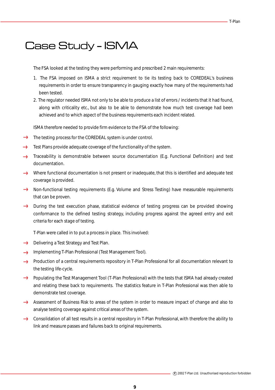# Case Study - ISMA

The FSA looked at the testing they were performing and prescribed 2 main requirements:

- 1. The FSA imposed on ISMA a strict requirement to tie its testing back to COREDEAL's business requirements in order to ensure transparency in gauging exactly how many of the requirements had been tested.
- 2. The regulator needed ISMA not only to be able to produce a list of errors / incidents that it had found, along with criticality etc., but also to be able to demonstrate how much test coverage had been achieved and to which aspect of the business requirements each incident related.

ISMA therefore needed to provide firm evidence to the FSA of the following:

- $\rightarrow$  The testing process for the COREDEAL system is under control.
- $\epsilon$ Test Plans provide adequate coverage of the functionality of the system.
- Traceability is demonstrable between source documentation (E.g. Functional Definition) and test  $\leftarrow$ documentation.
- Where functional documentation is not present or inadequate, that this is identified and adequate test coverage is provided.
- → Non-functional testing requirements (E.g. Volume and Stress Testing) have measurable requirements that can be proven.
- $\rightarrow$  During the test execution phase, statistical evidence of testing progress can be provided showing conformance to the defined testing strategy, including progress against the agreed entry and exit criteria for each stage of testing.

T-Plan were called in to put a process in place. This involved:

- $\rightarrow$  Delivering a Test Strategy and Test Plan.
- **Implementing T-Plan Professional (Test Management Tool).**
- **->** Production of a central requirements repository in T-Plan Professional for all documentation relevant to the testing life-cycle.
- **->** Populating the Test Management Tool (T-Plan Professional) with the tests that ISMA had already created and relating these back to requirements. The statistics feature in T-Plan Professional was then able to demonstrate test coverage.
- Assessment of Business Risk to areas of the system in order to measure impact of change and also to analyse testing coverage against critical areas of the system.
- Consolidation of all test results in a central repository in T-Plan Professional, with therefore the ability to link and measure passes and failures back to original requirements.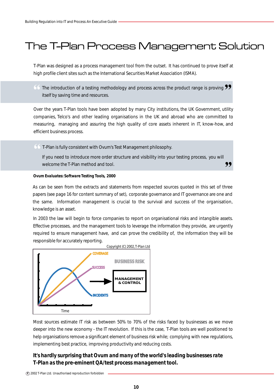# The T-Plan Process Management Solution

T-Plan was designed as a process management tool from the outset. It has continued to prove itself at high profile client sites such as the International Securities Market Association (ISMA).

 $\bullet\bullet$  The introduction of a testing methodology and process across the product range is proving  $\bullet\bullet$  itself by saving time and resources. itself by saving time and resources.

Over the years T-Plan tools have been adopted by many City institutions, the UK Government, utility companies, Telco's and other leading organisations in the UK and abroad who are committed to measuring, managing and assuring the high quality of core assets inherent in IT, know-how, and efficient business process.

" T-Plan is fully consistent with Ovum's Test Management philosophy.

,, If you need to introduce more order structure and visibility into your testing process, you will welcome the T-Plan method and tool.

#### *Ovum Evaluates: Software Testing Tools, 2000*

As can be seen from the extracts and statements from respected sources quoted in this set of three papers (see page 16 for content summary of set), corporate governance and IT governance are one and the same. Information management is crucial to the survival and success of the organisation, knowledge is an asset.

In 2003 the law will begin to force companies to report on organisational risks and intangible assets. Effective processes, and the management tools to leverage the information they provide, are urgently required to ensure management have, and can prove the credibility of, the information they will be responsible for accurately reporting.



Most sources estimate IT risk as between 50% to 70% of the risks faced by businesses as we move deeper into the new economy - the IT revolution. If this is the case, T-Plan tools are well positioned to help organisations remove a significant element of business risk while; complying with new regulations, implementing best practice, improving productivity and reducing costs.

#### *It's hardly surprising that Ovum and many of the world's leading businesses rate T-Plan as the pre-eminent QA/test process management tool.*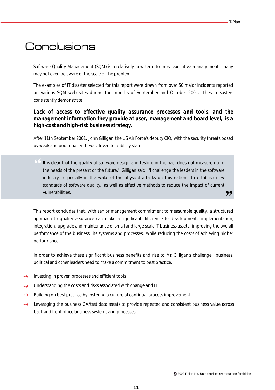## **Conclusions**

Software Quality Management (SQM) is a relatively new term to most executive management, many may not even be aware of the scale of the problem.

The examples of IT disaster selected for this report were drawn from over 50 major incidents reported on various SQM web sites during the months of September and October 2001. These disasters consistently demonstrate:

#### Lack of access to effective quality assurance processes and tools, and the *management information they provide at user, management and board level, is a high-cost and high-risk business strategy.*

After 11th September 2001, John Gilligan, the US Air Force's deputy CIO, with the security threats posed by weak and poor quality IT, was driven to publicly state:

" It is clear that the quality of software design and testing in the past does not measure up to " the needs of the present or the future," Gilligan said. "I challenge the leaders in the software industry, especially in the wake of the physical attacks on this nation, to establish new standards of software quality, as well as effective methods to reduce the impact of current vulnerabilities.

This report concludes that, with senior management commitment to measurable quality, a structured approach to quality assurance can make a significant difference to development, implementation, integration, upgrade and maintenance of small and large scale IT business assets; improving the overall performance of the business, its systems and processes, while reducing the costs of achieving higher performance.

In order to achieve these significant business benefits and rise to Mr. Gilligan's challenge; business, political and other leaders need to make a commitment to best practice.

- Investing in proven processes and efficient tools
- Understanding the costs and risks associated with change and IT  $\epsilon$
- **Conco** Building on best practice by fostering a culture of continual process improvement
- → Leveraging the business QA/test data assets to provide repeated and consistent business value across back and front office business systems and processes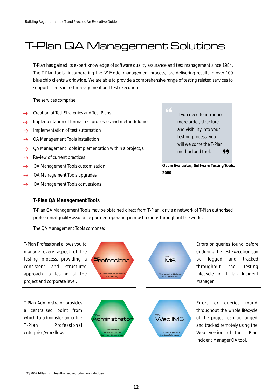# T-Plan QA Management Solutions

T-Plan has gained its expert knowledge of software quality assurance and test management since 1984. The T-Plan tools, incorporating the 'V' Model management process, are delivering results in over 100 blue chip clients worldwide. We are able to provide a comprehensive range of testing related services to support clients in test management and test execution.

The services comprise:

- Creation of Test Strategies and Test Plans
- Implementation of formal test processes and methodologies
- Implementation of test automation  $f_{\text{meas}}$
- QA Management Tools installation  $rac{1}{2}$
- QA Management Tools implementation within a project/s **Succes**
- Review of current practices **Access**
- QA Management Tools customisation funn
- QA Management Tools upgrades .....
- QA Management Tools conversions

99 If you need to introduce more order, structure and visibility into your testing process, you will welcome the T-Plan method and tool.

"

*Ovum Evaluates, Software Testing Tools, 2000*

#### **T-Plan QA Management Tools**

The QA Management Tools comprise:

IMS T-Plan The Leading Defect Tracking Solution T-Plan<br>**Web IMS** The Leading Web Incident Manager Professional A Corporate Standard for Testing Administrator **Centralized** Administration for your Enterprise T-Plan T-Plan Professional allows you to manage every aspect of the testing process, providing a consistent and structured approach to testing at the project and corporate level. T-Plan Administrator provides a centralised point from which to administer an entire T-Plan Professional enterprise/workflow. Errors or queries found before or during the Test Execution can be logged and tracked throughout the Testing Lifecycle in T-Plan Incident Manager. Errors or queries found throughout the whole lifecycle of the project can be logged and tracked remotely using the Web version of the T-Plan Incident Manager QA tool.

T-Plan QA Management Tools may be obtained direct from T-Plan, or via a network of T-Plan authorised

professional quality assurance partners operating in most regions throughout the world.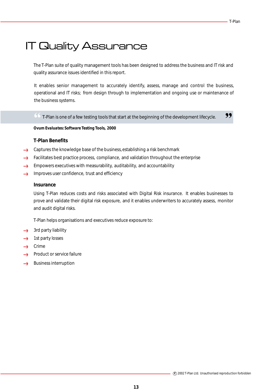# IT Quality Assurance

The T-Plan suite of quality management tools has been designed to address the business and IT risk and quality assurance issues identified in this report.

It enables senior management to accurately identify, assess, manage and control the business, operational and IT risks; from design through to implementation and ongoing use or maintenance of the business systems.

 $\begin{array}{r} \textcircled{f} \text{I-Plan is one of a few testing tools that start at the beginning of the development lifecycle.} \end{array}$ 

*Ovum Evaluates: Software Testing Tools, 2000*

#### **T-Plan Benefits**

- Captures the knowledge base of the business, establishing a risk benchmark from
- Facilitates best practice process, compliance, and validation throughout the enterprise fuces
- Empowers executives with measurability, auditability, and accountability fuun
- $\rightarrow$ Improves user confidence, trust and efficiency

#### **Insurance**

Using T-Plan reduces costs and risks associated with Digital Risk insurance. It enables businesses to prove and validate their digital risk exposure, and it enables underwriters to accurately assess, monitor and audit digital risks.

T-Plan helps organisations and executives reduce exposure to:

- 3rd party liability  $\epsilon$
- 1st party losses fuces
- Crime  $\epsilon$
- Product or service failure from
- Business interruption $\epsilon$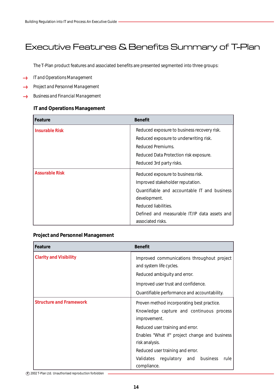### Executive Features & Benefits Summary of T-Plan

The T-Plan product features and associated benefits are presented segmented into three groups:

- *IT and Operations Management*  $\longleftrightarrow$
- *Project and Personnel Management* ......
- *Business and Financial Management*  $\longrightarrow$

#### **IT and Operations Management**

| Feature               | <b>Benefit</b>                               |
|-----------------------|----------------------------------------------|
| <b>Insurable Risk</b> | Reduced exposure to business recovery risk.  |
|                       | Reduced exposure to underwriting risk.       |
|                       | Reduced Premiums.                            |
|                       | Reduced Data Protection risk exposure.       |
|                       | Reduced 3rd party risks.                     |
| <b>Assurable Risk</b> | Reduced exposure to business risk.           |
|                       | Improved stakeholder reputation.             |
|                       | Quantifiable and accountable IT and business |
|                       | development.                                 |
|                       | Reduced liabilities.                         |
|                       | Defined and measurable IT/IP data assets and |
|                       | associated risks.                            |

#### **Project and Personnel Management**

| Feature                        | <b>Benefit</b>                                                                                                                               |
|--------------------------------|----------------------------------------------------------------------------------------------------------------------------------------------|
| <b>Clarity and Visibility</b>  | Improved communications throughout project<br>and system life cycles.<br>Reduced ambiguity and error.<br>Improved user trust and confidence. |
|                                | Quantifiable performance and accountability.                                                                                                 |
| <b>Structure and Framework</b> | Proven method incorporating best practice.<br>Knowledge capture and continuous process<br>improvement.                                       |
|                                | Reduced user training and error.<br>Enables "What if" project change and business<br>risk analysis.                                          |
|                                | Reduced user training and error.                                                                                                             |
|                                | Validates regulatory and business<br>rule<br>compliance.                                                                                     |

**c** 2002 T-Plan Ltd. Unauthorised reproduction forbidden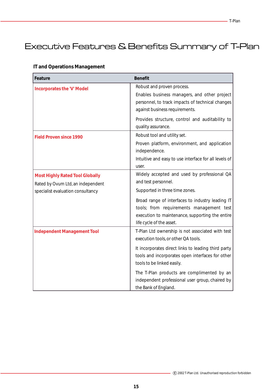## Executive Features & Benefits Summary of T-Plan

| Feature                                                                                                          | <b>Benefit</b>                                                                                                                                                                                                                                                                                                                                            |
|------------------------------------------------------------------------------------------------------------------|-----------------------------------------------------------------------------------------------------------------------------------------------------------------------------------------------------------------------------------------------------------------------------------------------------------------------------------------------------------|
| <b>Incorporates the 'V' Model</b>                                                                                | Robust and proven process.<br>Enables business managers, and other project<br>personnel, to track impacts of technical changes<br>against business requirements.<br>Provides structure, control and auditability to<br>quality assurance.                                                                                                                 |
| <b>Field Proven since 1990</b>                                                                                   | Robust tool and utility set.<br>Proven platform, environment, and application<br>independence.<br>Intuitive and easy to use interface for all levels of<br>user.                                                                                                                                                                                          |
| <b>Most Highly Rated Tool Globally</b><br>Rated by Ovum Ltd, an independent<br>specialist evaluation consultancy | Widely accepted and used by professional QA<br>and test personnel.<br>Supported in three time zones.<br>Broad range of interfaces to industry leading IT<br>tools; from requirements management test<br>execution to maintenance, supporting the entire<br>life cycle of the asset.                                                                       |
| <b>Independent Management Tool</b>                                                                               | T-Plan Ltd ownership is not associated with test<br>execution tools, or other QA tools.<br>It incorporates direct links to leading third party<br>tools and incorporates open interfaces for other<br>tools to be linked easily.<br>The T-Plan products are complimented by an<br>independent professional user group, chaired by<br>the Bank of England. |

#### **IT and Operations Management**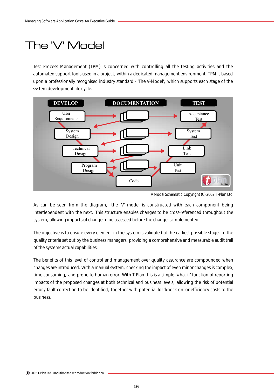# The 'V' Model

Test Process Management (TPM) is concerned with controlling all the testing activities and the automated support tools used in a project, within a dedicated management environment. TPM is based upon a professionally recognised industry standard - 'The V-Model', which supports each stage of the system development life cycle.



*V Model Schematic, Copyright (C) 2002, T-Plan Ltd*

As can be seen from the diagram, the 'V' model is constructed with each component being interdependent with the next. This structure enables changes to be cross-referenced throughout the system, allowing impacts of change to be assessed before the change is implemented.

The objective is to ensure every element in the system is validated at the earliest possible stage, to the quality criteria set out by the business managers, providing a comprehensive and measurable audit trail of the systems actual capabilities.

The benefits of this level of control and management over quality assurance are compounded when changes are introduced. With a manual system, checking the impact of even minor changes is complex, time consuming, and prone to human error. With T-Plan this is a simple 'what if' function of reporting impacts of the proposed changes at both technical and business levels, allowing the risk of potential error / fault correction to be identified, together with potential for 'knock-on' or efficiency costs to the business.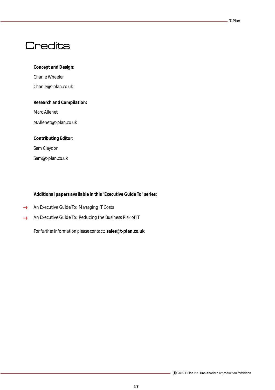#### T-Plan

### **Credits**

#### *Concept and Design:*

Charlie Wheeler Charlie@t-plan.co.uk

#### *Research and Compilation:*

Marc Allenet

MAllenet@t-plan.co.uk

### *Contributing Editor:*

Sam Claydon

Sam@t-plan.co.uk

#### *Additional papers available in this "Executive Guide To" series:*

- An Executive Guide To: Managing IT Costs
- An Executive Guide To: Reducing the Business Risk of IT

*For further information please contact:* **sales@t-plan.co.uk**